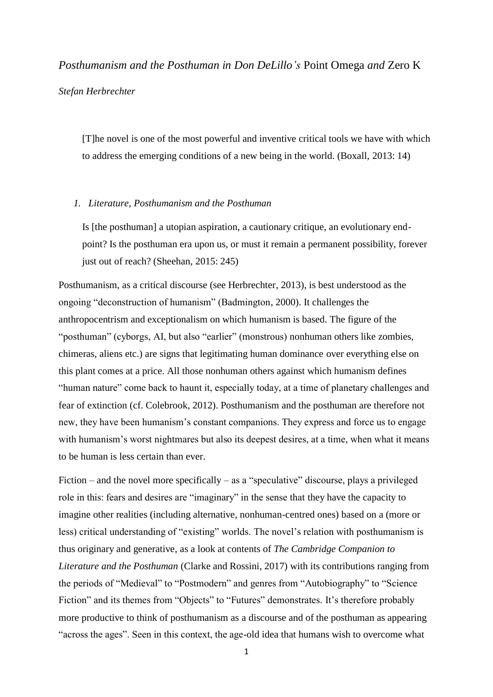*Posthumanism and the Posthuman in Don DeLillo's* Point Omega *and* Zero K *Stefan Herbrechter*

[T]he novel is one of the most powerful and inventive critical tools we have with which to address the emerging conditions of a new being in the world. (Boxall, 2013: 14)

### *1. Literature, Posthumanism and the Posthuman*

Is [the posthuman] a utopian aspiration, a cautionary critique, an evolutionary endpoint? Is the posthuman era upon us, or must it remain a permanent possibility, forever just out of reach? (Sheehan, 2015: 245)

Posthumanism, as a critical discourse (see Herbrechter, 2013), is best understood as the ongoing "deconstruction of humanism" (Badmington, 2000). It challenges the anthropocentrism and exceptionalism on which humanism is based. The figure of the "posthuman" (cyborgs, AI, but also "earlier" (monstrous) nonhuman others like zombies, chimeras, aliens etc.) are signs that legitimating human dominance over everything else on this plant comes at a price. All those nonhuman others against which humanism defines "human nature" come back to haunt it, especially today, at a time of planetary challenges and fear of extinction (cf. Colebrook, 2012). Posthumanism and the posthuman are therefore not new, they have been humanism's constant companions. They express and force us to engage with humanism's worst nightmares but also its deepest desires, at a time, when what it means to be human is less certain than ever.

Fiction – and the novel more specifically – as a "speculative" discourse, plays a privileged role in this: fears and desires are "imaginary" in the sense that they have the capacity to imagine other realities (including alternative, nonhuman-centred ones) based on a (more or less) critical understanding of "existing" worlds. The novel's relation with posthumanism is thus originary and generative, as a look at contents of *The Cambridge Companion to Literature and the Posthuman* (Clarke and Rossini, 2017) with its contributions ranging from the periods of "Medieval" to "Postmodern" and genres from "Autobiography" to "Science Fiction" and its themes from "Objects" to "Futures" demonstrates. It's therefore probably more productive to think of posthumanism as a discourse and of the posthuman as appearing "across the ages". Seen in this context, the age-old idea that humans wish to overcome what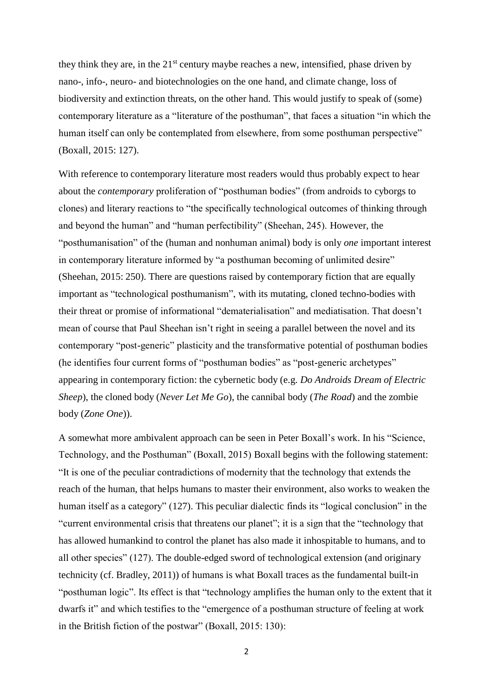they think they are, in the  $21<sup>st</sup>$  century maybe reaches a new, intensified, phase driven by nano-, info-, neuro- and biotechnologies on the one hand, and climate change, loss of biodiversity and extinction threats, on the other hand. This would justify to speak of (some) contemporary literature as a "literature of the posthuman", that faces a situation "in which the human itself can only be contemplated from elsewhere, from some posthuman perspective" (Boxall, 2015: 127).

With reference to contemporary literature most readers would thus probably expect to hear about the *contemporary* proliferation of "posthuman bodies" (from androids to cyborgs to clones) and literary reactions to "the specifically technological outcomes of thinking through and beyond the human" and "human perfectibility" (Sheehan, 245). However, the "posthumanisation" of the (human and nonhuman animal) body is only *one* important interest in contemporary literature informed by "a posthuman becoming of unlimited desire" (Sheehan, 2015: 250). There are questions raised by contemporary fiction that are equally important as "technological posthumanism", with its mutating, cloned techno-bodies with their threat or promise of informational "dematerialisation" and mediatisation. That doesn't mean of course that Paul Sheehan isn't right in seeing a parallel between the novel and its contemporary "post-generic" plasticity and the transformative potential of posthuman bodies (he identifies four current forms of "posthuman bodies" as "post-generic archetypes" appearing in contemporary fiction: the cybernetic body (e.g. *Do Androids Dream of Electric Sheep*), the cloned body (*Never Let Me Go*), the cannibal body (*The Road*) and the zombie body (*Zone One*)).

A somewhat more ambivalent approach can be seen in Peter Boxall's work. In his "Science, Technology, and the Posthuman" (Boxall, 2015) Boxall begins with the following statement: "It is one of the peculiar contradictions of modernity that the technology that extends the reach of the human, that helps humans to master their environment, also works to weaken the human itself as a category" (127). This peculiar dialectic finds its "logical conclusion" in the "current environmental crisis that threatens our planet"; it is a sign that the "technology that has allowed humankind to control the planet has also made it inhospitable to humans, and to all other species" (127). The double-edged sword of technological extension (and originary technicity (cf. Bradley, 2011)) of humans is what Boxall traces as the fundamental built-in "posthuman logic". Its effect is that "technology amplifies the human only to the extent that it dwarfs it" and which testifies to the "emergence of a posthuman structure of feeling at work in the British fiction of the postwar" (Boxall, 2015: 130):

2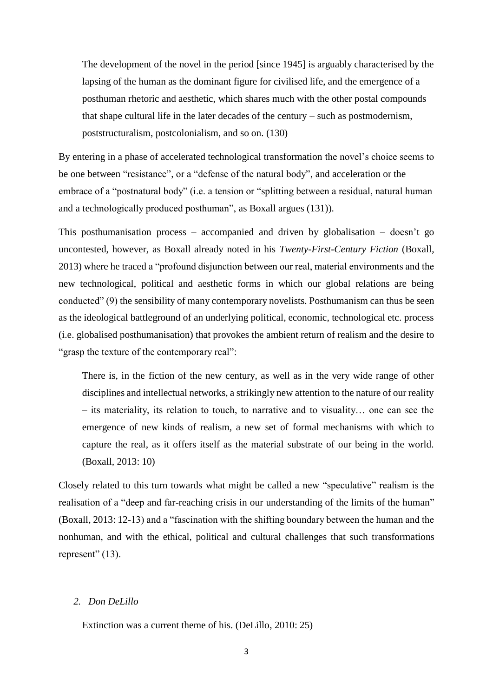The development of the novel in the period [since 1945] is arguably characterised by the lapsing of the human as the dominant figure for civilised life, and the emergence of a posthuman rhetoric and aesthetic, which shares much with the other postal compounds that shape cultural life in the later decades of the century – such as postmodernism, poststructuralism, postcolonialism, and so on. (130)

By entering in a phase of accelerated technological transformation the novel's choice seems to be one between "resistance", or a "defense of the natural body", and acceleration or the embrace of a "postnatural body" (i.e. a tension or "splitting between a residual, natural human and a technologically produced posthuman", as Boxall argues (131)).

This posthumanisation process – accompanied and driven by globalisation – doesn't go uncontested, however, as Boxall already noted in his *Twenty-First-Century Fiction* (Boxall, 2013) where he traced a "profound disjunction between our real, material environments and the new technological, political and aesthetic forms in which our global relations are being conducted" (9) the sensibility of many contemporary novelists. Posthumanism can thus be seen as the ideological battleground of an underlying political, economic, technological etc. process (i.e. globalised posthumanisation) that provokes the ambient return of realism and the desire to "grasp the texture of the contemporary real":

There is, in the fiction of the new century, as well as in the very wide range of other disciplines and intellectual networks, a strikingly new attention to the nature of our reality – its materiality, its relation to touch, to narrative and to visuality… one can see the emergence of new kinds of realism, a new set of formal mechanisms with which to capture the real, as it offers itself as the material substrate of our being in the world. (Boxall, 2013: 10)

Closely related to this turn towards what might be called a new "speculative" realism is the realisation of a "deep and far-reaching crisis in our understanding of the limits of the human" (Boxall, 2013: 12-13) and a "fascination with the shifting boundary between the human and the nonhuman, and with the ethical, political and cultural challenges that such transformations represent" (13).

### *2. Don DeLillo*

Extinction was a current theme of his. (DeLillo, 2010: 25)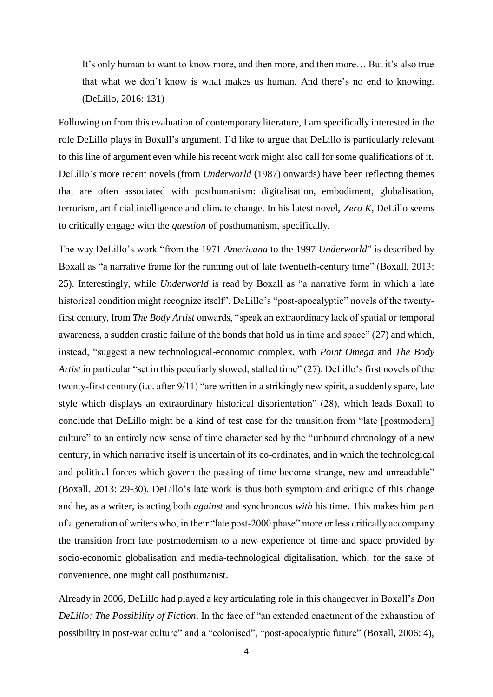It's only human to want to know more, and then more, and then more… But it's also true that what we don't know is what makes us human. And there's no end to knowing. (DeLillo, 2016: 131)

Following on from this evaluation of contemporary literature, I am specifically interested in the role DeLillo plays in Boxall's argument. I'd like to argue that DeLillo is particularly relevant to this line of argument even while his recent work might also call for some qualifications of it. DeLillo's more recent novels (from *Underworld* (1987) onwards) have been reflecting themes that are often associated with posthumanism: digitalisation, embodiment, globalisation, terrorism, artificial intelligence and climate change. In his latest novel, *Zero K*, DeLillo seems to critically engage with the *question* of posthumanism, specifically.

The way DeLillo's work "from the 1971 *Americana* to the 1997 *Underworld*" is described by Boxall as "a narrative frame for the running out of late twentieth-century time" (Boxall, 2013: 25). Interestingly, while *Underworld* is read by Boxall as "a narrative form in which a late historical condition might recognize itself", DeLillo's "post-apocalyptic" novels of the twentyfirst century, from *The Body Artist* onwards, "speak an extraordinary lack of spatial or temporal awareness, a sudden drastic failure of the bonds that hold us in time and space" (27) and which, instead, "suggest a new technological-economic complex, with *Point Omega* and *The Body Artist* in particular "set in this peculiarly slowed, stalled time" (27). DeLillo's first novels of the twenty-first century (i.e. after 9/11) "are written in a strikingly new spirit, a suddenly spare, late style which displays an extraordinary historical disorientation" (28), which leads Boxall to conclude that DeLillo might be a kind of test case for the transition from "late [postmodern] culture" to an entirely new sense of time characterised by the "unbound chronology of a new century, in which narrative itself is uncertain of its co-ordinates, and in which the technological and political forces which govern the passing of time become strange, new and unreadable" (Boxall, 2013: 29-30). DeLillo's late work is thus both symptom and critique of this change and he, as a writer, is acting both *against* and synchronous *with* his time. This makes him part of a generation of writers who, in their "late post-2000 phase" more or less critically accompany the transition from late postmodernism to a new experience of time and space provided by socio-economic globalisation and media-technological digitalisation, which, for the sake of convenience, one might call posthumanist.

Already in 2006, DeLillo had played a key articulating role in this changeover in Boxall's *Don DeLillo: The Possibility of Fiction*. In the face of "an extended enactment of the exhaustion of possibility in post-war culture" and a "colonised", "post-apocalyptic future" (Boxall, 2006: 4),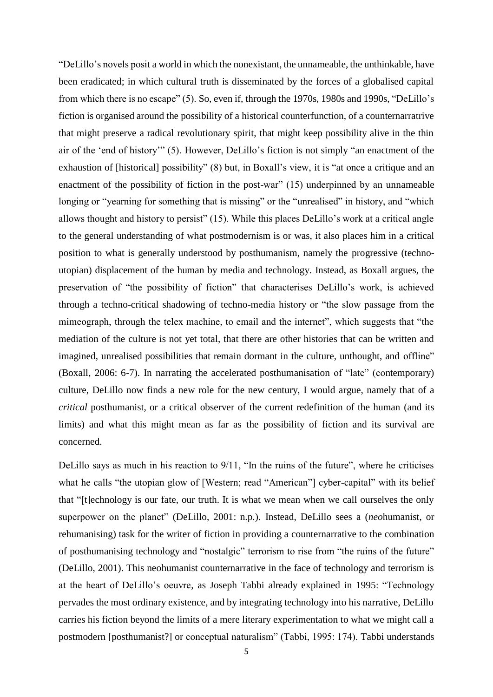"DeLillo's novels posit a world in which the nonexistant, the unnameable, the unthinkable, have been eradicated; in which cultural truth is disseminated by the forces of a globalised capital from which there is no escape" (5). So, even if, through the 1970s, 1980s and 1990s, "DeLillo's fiction is organised around the possibility of a historical counterfunction, of a counternarratrive that might preserve a radical revolutionary spirit, that might keep possibility alive in the thin air of the 'end of history'" (5). However, DeLillo's fiction is not simply "an enactment of the exhaustion of [historical] possibility" (8) but, in Boxall's view, it is "at once a critique and an enactment of the possibility of fiction in the post-war" (15) underpinned by an unnameable longing or "yearning for something that is missing" or the "unrealised" in history, and "which allows thought and history to persist" (15). While this places DeLillo's work at a critical angle to the general understanding of what postmodernism is or was, it also places him in a critical position to what is generally understood by posthumanism, namely the progressive (technoutopian) displacement of the human by media and technology. Instead, as Boxall argues, the preservation of "the possibility of fiction" that characterises DeLillo's work, is achieved through a techno-critical shadowing of techno-media history or "the slow passage from the mimeograph, through the telex machine, to email and the internet", which suggests that "the mediation of the culture is not yet total, that there are other histories that can be written and imagined, unrealised possibilities that remain dormant in the culture, unthought, and offline" (Boxall, 2006: 6-7). In narrating the accelerated posthumanisation of "late" (contemporary) culture, DeLillo now finds a new role for the new century, I would argue, namely that of a *critical* posthumanist, or a critical observer of the current redefinition of the human (and its limits) and what this might mean as far as the possibility of fiction and its survival are concerned.

DeLillo says as much in his reaction to 9/11, "In the ruins of the future", where he criticises what he calls "the utopian glow of [Western; read "American"] cyber-capital" with its belief that "[t]echnology is our fate, our truth. It is what we mean when we call ourselves the only superpower on the planet" (DeLillo, 2001: n.p.). Instead, DeLillo sees a (*neo*humanist, or rehumanising) task for the writer of fiction in providing a counternarrative to the combination of posthumanising technology and "nostalgic" terrorism to rise from "the ruins of the future" (DeLillo, 2001). This neohumanist counternarrative in the face of technology and terrorism is at the heart of DeLillo's oeuvre, as Joseph Tabbi already explained in 1995: "Technology pervades the most ordinary existence, and by integrating technology into his narrative, DeLillo carries his fiction beyond the limits of a mere literary experimentation to what we might call a postmodern [posthumanist?] or conceptual naturalism" (Tabbi, 1995: 174). Tabbi understands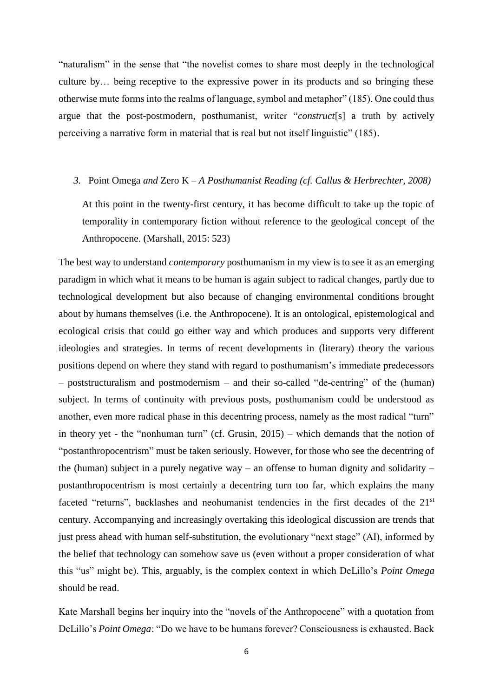"naturalism" in the sense that "the novelist comes to share most deeply in the technological culture by… being receptive to the expressive power in its products and so bringing these otherwise mute forms into the realms of language, symbol and metaphor" (185). One could thus argue that the post-postmodern, posthumanist, writer "*construct*[s] a truth by actively perceiving a narrative form in material that is real but not itself linguistic" (185).

## *3.* Point Omega *and* Zero K *– A Posthumanist Reading (cf. Callus & Herbrechter, 2008)*

At this point in the twenty-first century, it has become difficult to take up the topic of temporality in contemporary fiction without reference to the geological concept of the Anthropocene. (Marshall, 2015: 523)

The best way to understand *contemporary* posthumanism in my view is to see it as an emerging paradigm in which what it means to be human is again subject to radical changes, partly due to technological development but also because of changing environmental conditions brought about by humans themselves (i.e. the Anthropocene). It is an ontological, epistemological and ecological crisis that could go either way and which produces and supports very different ideologies and strategies. In terms of recent developments in (literary) theory the various positions depend on where they stand with regard to posthumanism's immediate predecessors – poststructuralism and postmodernism – and their so-called "de-centring" of the (human) subject. In terms of continuity with previous posts, posthumanism could be understood as another, even more radical phase in this decentring process, namely as the most radical "turn" in theory yet - the "nonhuman turn" (cf. Grusin, 2015) – which demands that the notion of "postanthropocentrism" must be taken seriously. However, for those who see the decentring of the (human) subject in a purely negative way – an offense to human dignity and solidarity – postanthropocentrism is most certainly a decentring turn too far, which explains the many faceted "returns", backlashes and neohumanist tendencies in the first decades of the 21<sup>st</sup> century. Accompanying and increasingly overtaking this ideological discussion are trends that just press ahead with human self-substitution, the evolutionary "next stage" (AI), informed by the belief that technology can somehow save us (even without a proper consideration of what this "us" might be). This, arguably, is the complex context in which DeLillo's *Point Omega* should be read.

Kate Marshall begins her inquiry into the "novels of the Anthropocene" with a quotation from DeLillo's *Point Omega*: "Do we have to be humans forever? Consciousness is exhausted. Back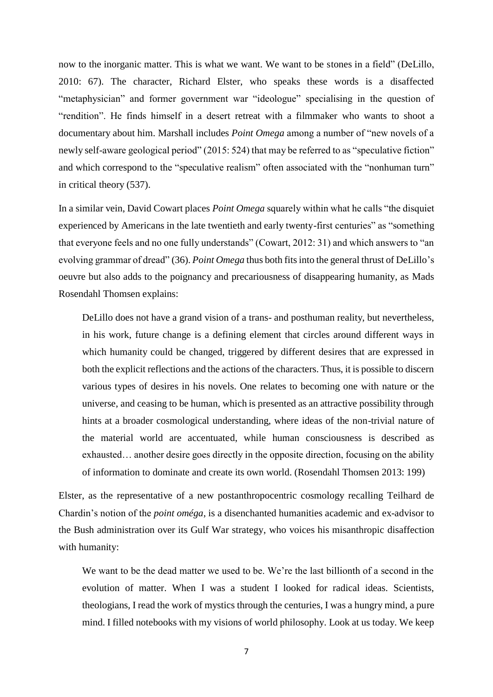now to the inorganic matter. This is what we want. We want to be stones in a field" (DeLillo, 2010: 67). The character, Richard Elster, who speaks these words is a disaffected "metaphysician" and former government war "ideologue" specialising in the question of "rendition". He finds himself in a desert retreat with a filmmaker who wants to shoot a documentary about him. Marshall includes *Point Omega* among a number of "new novels of a newly self-aware geological period" (2015: 524) that may be referred to as "speculative fiction" and which correspond to the "speculative realism" often associated with the "nonhuman turn" in critical theory (537).

In a similar vein, David Cowart places *Point Omega* squarely within what he calls "the disquiet experienced by Americans in the late twentieth and early twenty-first centuries" as "something that everyone feels and no one fully understands" (Cowart, 2012: 31) and which answers to "an evolving grammar of dread" (36). *Point Omega* thus both fits into the general thrust of DeLillo's oeuvre but also adds to the poignancy and precariousness of disappearing humanity, as Mads Rosendahl Thomsen explains:

DeLillo does not have a grand vision of a trans- and posthuman reality, but nevertheless, in his work, future change is a defining element that circles around different ways in which humanity could be changed, triggered by different desires that are expressed in both the explicit reflections and the actions of the characters. Thus, it is possible to discern various types of desires in his novels. One relates to becoming one with nature or the universe, and ceasing to be human, which is presented as an attractive possibility through hints at a broader cosmological understanding, where ideas of the non-trivial nature of the material world are accentuated, while human consciousness is described as exhausted… another desire goes directly in the opposite direction, focusing on the ability of information to dominate and create its own world. (Rosendahl Thomsen 2013: 199)

Elster, as the representative of a new postanthropocentric cosmology recalling Teilhard de Chardin's notion of the *point oméga*, is a disenchanted humanities academic and ex-advisor to the Bush administration over its Gulf War strategy, who voices his misanthropic disaffection with humanity:

We want to be the dead matter we used to be. We're the last billionth of a second in the evolution of matter. When I was a student I looked for radical ideas. Scientists, theologians, I read the work of mystics through the centuries, I was a hungry mind, a pure mind. I filled notebooks with my visions of world philosophy. Look at us today. We keep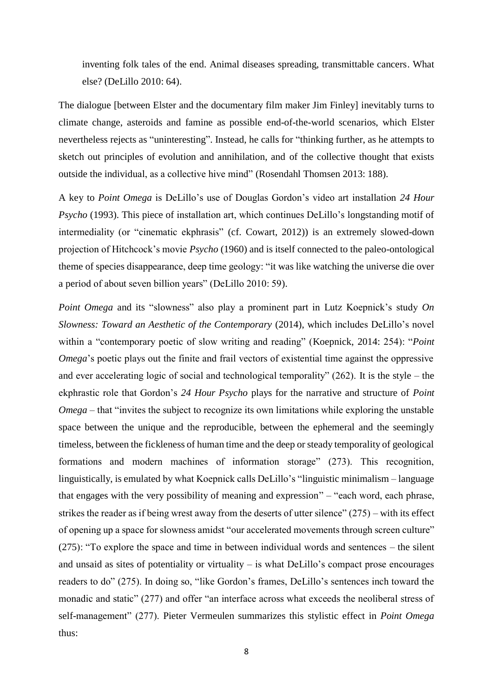inventing folk tales of the end. Animal diseases spreading, transmittable cancers. What else? (DeLillo 2010: 64).

The dialogue [between Elster and the documentary film maker Jim Finley] inevitably turns to climate change, asteroids and famine as possible end-of-the-world scenarios, which Elster nevertheless rejects as "uninteresting". Instead, he calls for "thinking further, as he attempts to sketch out principles of evolution and annihilation, and of the collective thought that exists outside the individual, as a collective hive mind" (Rosendahl Thomsen 2013: 188).

A key to *Point Omega* is DeLillo's use of Douglas Gordon's video art installation *24 Hour Psycho* (1993). This piece of installation art, which continues DeLillo's longstanding motif of intermediality (or "cinematic ekphrasis" (cf. Cowart, 2012)) is an extremely slowed-down projection of Hitchcock's movie *Psycho* (1960) and is itself connected to the paleo-ontological theme of species disappearance, deep time geology: "it was like watching the universe die over a period of about seven billion years" (DeLillo 2010: 59).

*Point Omega* and its "slowness" also play a prominent part in Lutz Koepnick's study *On Slowness: Toward an Aesthetic of the Contemporary* (2014), which includes DeLillo's novel within a "contemporary poetic of slow writing and reading" (Koepnick, 2014: 254): "*Point Omega*'s poetic plays out the finite and frail vectors of existential time against the oppressive and ever accelerating logic of social and technological temporality" (262). It is the style – the ekphrastic role that Gordon's *24 Hour Psycho* plays for the narrative and structure of *Point Omega* – that "invites the subject to recognize its own limitations while exploring the unstable space between the unique and the reproducible, between the ephemeral and the seemingly timeless, between the fickleness of human time and the deep or steady temporality of geological formations and modern machines of information storage" (273). This recognition, linguistically, is emulated by what Koepnick calls DeLillo's "linguistic minimalism – language that engages with the very possibility of meaning and expression" – "each word, each phrase, strikes the reader as if being wrest away from the deserts of utter silence" (275) – with its effect of opening up a space for slowness amidst "our accelerated movements through screen culture" (275): "To explore the space and time in between individual words and sentences – the silent and unsaid as sites of potentiality or virtuality – is what DeLillo's compact prose encourages readers to do" (275). In doing so, "like Gordon's frames, DeLillo's sentences inch toward the monadic and static" (277) and offer "an interface across what exceeds the neoliberal stress of self-management" (277). Pieter Vermeulen summarizes this stylistic effect in *Point Omega* thus: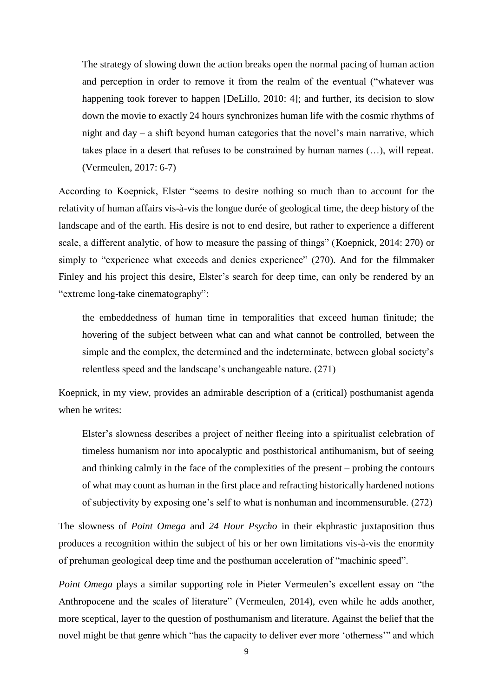The strategy of slowing down the action breaks open the normal pacing of human action and perception in order to remove it from the realm of the eventual ("whatever was happening took forever to happen [DeLillo, 2010: 4]; and further, its decision to slow down the movie to exactly 24 hours synchronizes human life with the cosmic rhythms of night and day – a shift beyond human categories that the novel's main narrative, which takes place in a desert that refuses to be constrained by human names (…), will repeat. (Vermeulen, 2017: 6-7)

According to Koepnick, Elster "seems to desire nothing so much than to account for the relativity of human affairs vis-à-vis the longue durée of geological time, the deep history of the landscape and of the earth. His desire is not to end desire, but rather to experience a different scale, a different analytic, of how to measure the passing of things" (Koepnick, 2014: 270) or simply to "experience what exceeds and denies experience" (270). And for the filmmaker Finley and his project this desire, Elster's search for deep time, can only be rendered by an "extreme long-take cinematography":

the embeddedness of human time in temporalities that exceed human finitude; the hovering of the subject between what can and what cannot be controlled, between the simple and the complex, the determined and the indeterminate, between global society's relentless speed and the landscape's unchangeable nature. (271)

Koepnick, in my view, provides an admirable description of a (critical) posthumanist agenda when he writes:

Elster's slowness describes a project of neither fleeing into a spiritualist celebration of timeless humanism nor into apocalyptic and posthistorical antihumanism, but of seeing and thinking calmly in the face of the complexities of the present – probing the contours of what may count as human in the first place and refracting historically hardened notions of subjectivity by exposing one's self to what is nonhuman and incommensurable. (272)

The slowness of *Point Omega* and *24 Hour Psycho* in their ekphrastic juxtaposition thus produces a recognition within the subject of his or her own limitations vis-à-vis the enormity of prehuman geological deep time and the posthuman acceleration of "machinic speed".

*Point Omega* plays a similar supporting role in Pieter Vermeulen's excellent essay on "the Anthropocene and the scales of literature" (Vermeulen, 2014), even while he adds another, more sceptical, layer to the question of posthumanism and literature. Against the belief that the novel might be that genre which "has the capacity to deliver ever more 'otherness'" and which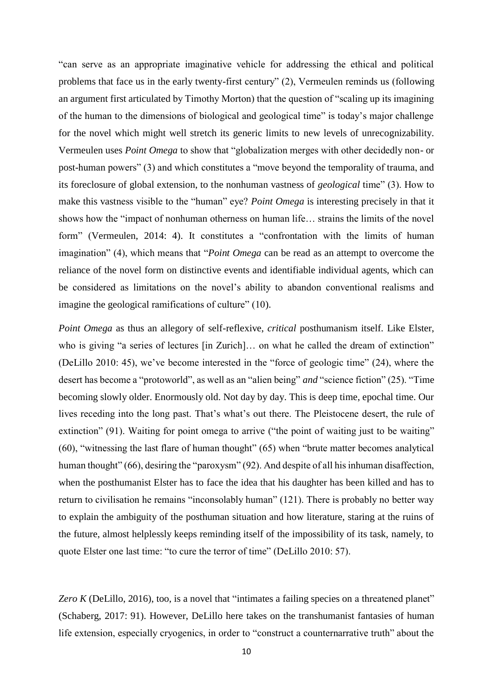"can serve as an appropriate imaginative vehicle for addressing the ethical and political problems that face us in the early twenty-first century" (2), Vermeulen reminds us (following an argument first articulated by Timothy Morton) that the question of "scaling up its imagining of the human to the dimensions of biological and geological time" is today's major challenge for the novel which might well stretch its generic limits to new levels of unrecognizability. Vermeulen uses *Point Omega* to show that "globalization merges with other decidedly non- or post-human powers" (3) and which constitutes a "move beyond the temporality of trauma, and its foreclosure of global extension, to the nonhuman vastness of *geological* time" (3). How to make this vastness visible to the "human" eye? *Point Omega* is interesting precisely in that it shows how the "impact of nonhuman otherness on human life… strains the limits of the novel form" (Vermeulen, 2014: 4). It constitutes a "confrontation with the limits of human imagination" (4), which means that "*Point Omega* can be read as an attempt to overcome the reliance of the novel form on distinctive events and identifiable individual agents, which can be considered as limitations on the novel's ability to abandon conventional realisms and imagine the geological ramifications of culture" (10).

*Point Omega* as thus an allegory of self-reflexive, *critical* posthumanism itself. Like Elster, who is giving "a series of lectures [in Zurich]... on what he called the dream of extinction" (DeLillo 2010: 45), we've become interested in the "force of geologic time" (24), where the desert has become a "protoworld", as well as an "alien being" *and* "science fiction" (25). "Time becoming slowly older. Enormously old. Not day by day. This is deep time, epochal time. Our lives receding into the long past. That's what's out there. The Pleistocene desert, the rule of extinction" (91). Waiting for point omega to arrive ("the point of waiting just to be waiting" (60), "witnessing the last flare of human thought" (65) when "brute matter becomes analytical human thought" (66), desiring the "paroxysm" (92). And despite of all his inhuman disaffection, when the posthumanist Elster has to face the idea that his daughter has been killed and has to return to civilisation he remains "inconsolably human" (121). There is probably no better way to explain the ambiguity of the posthuman situation and how literature, staring at the ruins of the future, almost helplessly keeps reminding itself of the impossibility of its task, namely, to quote Elster one last time: "to cure the terror of time" (DeLillo 2010: 57).

*Zero K* (DeLillo, 2016), too, is a novel that "intimates a failing species on a threatened planet" (Schaberg, 2017: 91). However, DeLillo here takes on the transhumanist fantasies of human life extension, especially cryogenics, in order to "construct a counternarrative truth" about the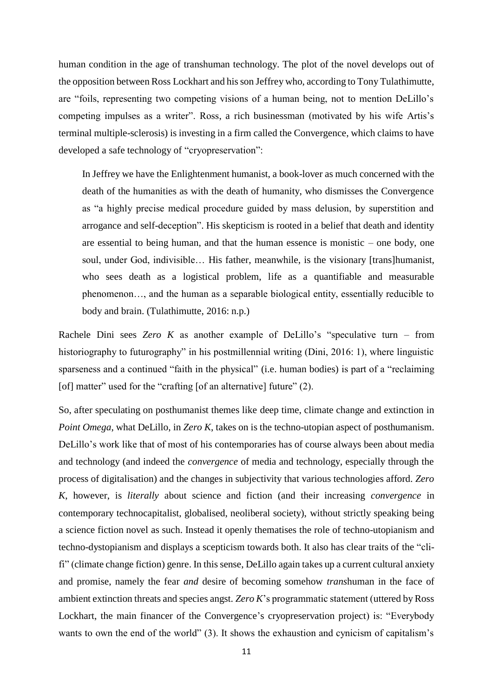human condition in the age of transhuman technology. The plot of the novel develops out of the opposition between Ross Lockhart and his son Jeffrey who, according to Tony Tulathimutte, are "foils, representing two competing visions of a human being, not to mention DeLillo's competing impulses as a writer". Ross, a rich businessman (motivated by his wife Artis's terminal multiple-sclerosis) is investing in a firm called the Convergence, which claims to have developed a safe technology of "cryopreservation":

In Jeffrey we have the Enlightenment humanist, a book-lover as much concerned with the death of the humanities as with the death of humanity, who dismisses the Convergence as "a highly precise medical procedure guided by mass delusion, by superstition and arrogance and self-deception". His skepticism is rooted in a belief that death and identity are essential to being human, and that the human essence is monistic – one body, one soul, under God, indivisible… His father, meanwhile, is the visionary [trans]humanist, who sees death as a logistical problem, life as a quantifiable and measurable phenomenon…, and the human as a separable biological entity, essentially reducible to body and brain. (Tulathimutte, 2016: n.p.)

Rachele Dini sees *Zero K* as another example of DeLillo's "speculative turn – from historiography to futurography" in his postmillennial writing (Dini, 2016: 1), where linguistic sparseness and a continued "faith in the physical" (i.e. human bodies) is part of a "reclaiming [of] matter" used for the "crafting [of an alternative] future" (2).

So, after speculating on posthumanist themes like deep time, climate change and extinction in *Point Omega*, what DeLillo, in *Zero K*, takes on is the techno-utopian aspect of posthumanism. DeLillo's work like that of most of his contemporaries has of course always been about media and technology (and indeed the *convergence* of media and technology, especially through the process of digitalisation) and the changes in subjectivity that various technologies afford. *Zero K*, however, is *literally* about science and fiction (and their increasing *convergence* in contemporary technocapitalist, globalised, neoliberal society), without strictly speaking being a science fiction novel as such. Instead it openly thematises the role of techno-utopianism and techno-dystopianism and displays a scepticism towards both. It also has clear traits of the "clifi" (climate change fiction) genre. In this sense, DeLillo again takes up a current cultural anxiety and promise, namely the fear *and* desire of becoming somehow *trans*human in the face of ambient extinction threats and species angst. *Zero K*'s programmatic statement (uttered by Ross Lockhart, the main financer of the Convergence's cryopreservation project) is: "Everybody wants to own the end of the world" (3). It shows the exhaustion and cynicism of capitalism's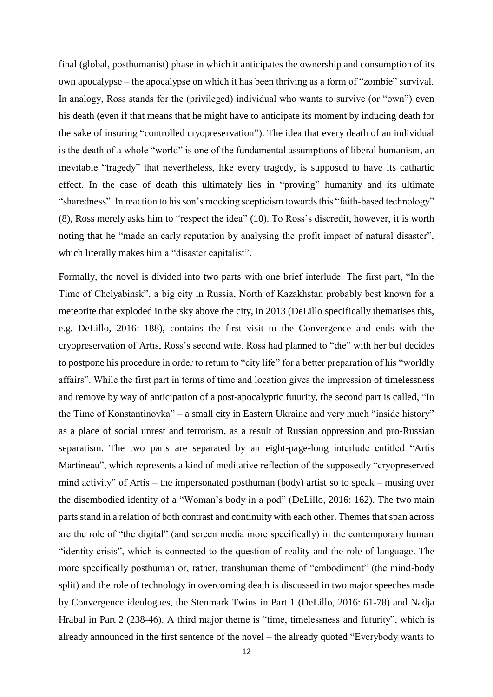final (global, posthumanist) phase in which it anticipates the ownership and consumption of its own apocalypse – the apocalypse on which it has been thriving as a form of "zombie" survival. In analogy, Ross stands for the (privileged) individual who wants to survive (or "own") even his death (even if that means that he might have to anticipate its moment by inducing death for the sake of insuring "controlled cryopreservation"). The idea that every death of an individual is the death of a whole "world" is one of the fundamental assumptions of liberal humanism, an inevitable "tragedy" that nevertheless, like every tragedy, is supposed to have its cathartic effect. In the case of death this ultimately lies in "proving" humanity and its ultimate "sharedness". In reaction to his son's mocking scepticism towards this "faith-based technology" (8), Ross merely asks him to "respect the idea" (10). To Ross's discredit, however, it is worth noting that he "made an early reputation by analysing the profit impact of natural disaster", which literally makes him a "disaster capitalist".

Formally, the novel is divided into two parts with one brief interlude. The first part, "In the Time of Chelyabinsk", a big city in Russia, North of Kazakhstan probably best known for a meteorite that exploded in the sky above the city, in 2013 (DeLillo specifically thematises this, e.g. DeLillo, 2016: 188), contains the first visit to the Convergence and ends with the cryopreservation of Artis, Ross's second wife. Ross had planned to "die" with her but decides to postpone his procedure in order to return to "city life" for a better preparation of his "worldly affairs". While the first part in terms of time and location gives the impression of timelessness and remove by way of anticipation of a post-apocalyptic futurity, the second part is called, "In the Time of Konstantinovka" – a small city in Eastern Ukraine and very much "inside history" as a place of social unrest and terrorism, as a result of Russian oppression and pro-Russian separatism. The two parts are separated by an eight-page-long interlude entitled "Artis Martineau", which represents a kind of meditative reflection of the supposedly "cryopreserved mind activity" of Artis – the impersonated posthuman (body) artist so to speak – musing over the disembodied identity of a "Woman's body in a pod" (DeLillo, 2016: 162). The two main parts stand in a relation of both contrast and continuity with each other. Themes that span across are the role of "the digital" (and screen media more specifically) in the contemporary human "identity crisis", which is connected to the question of reality and the role of language. The more specifically posthuman or, rather, transhuman theme of "embodiment" (the mind-body split) and the role of technology in overcoming death is discussed in two major speeches made by Convergence ideologues, the Stenmark Twins in Part 1 (DeLillo, 2016: 61-78) and Nadja Hrabal in Part 2 (238-46). A third major theme is "time, timelessness and futurity", which is already announced in the first sentence of the novel – the already quoted "Everybody wants to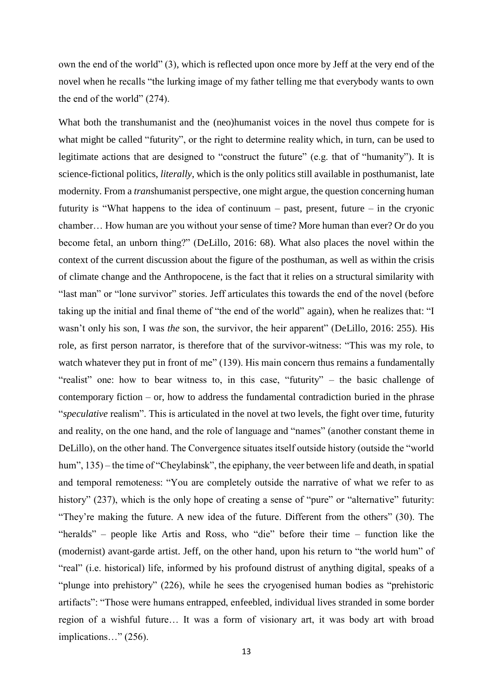own the end of the world" (3), which is reflected upon once more by Jeff at the very end of the novel when he recalls "the lurking image of my father telling me that everybody wants to own the end of the world" (274).

What both the transhumanist and the (neo)humanist voices in the novel thus compete for is what might be called "futurity", or the right to determine reality which, in turn, can be used to legitimate actions that are designed to "construct the future" (e.g. that of "humanity"). It is science-fictional politics, *literally*, which is the only politics still available in posthumanist, late modernity. From a *trans*humanist perspective, one might argue, the question concerning human futurity is "What happens to the idea of continuum – past, present, future – in the cryonic chamber… How human are you without your sense of time? More human than ever? Or do you become fetal, an unborn thing?" (DeLillo, 2016: 68). What also places the novel within the context of the current discussion about the figure of the posthuman, as well as within the crisis of climate change and the Anthropocene, is the fact that it relies on a structural similarity with "last man" or "lone survivor" stories. Jeff articulates this towards the end of the novel (before taking up the initial and final theme of "the end of the world" again), when he realizes that: "I wasn't only his son, I was *the* son, the survivor, the heir apparent" (DeLillo, 2016: 255). His role, as first person narrator, is therefore that of the survivor-witness: "This was my role, to watch whatever they put in front of me" (139). His main concern thus remains a fundamentally "realist" one: how to bear witness to, in this case, "futurity" – the basic challenge of contemporary fiction – or, how to address the fundamental contradiction buried in the phrase "*speculative* realism". This is articulated in the novel at two levels, the fight over time, futurity and reality, on the one hand, and the role of language and "names" (another constant theme in DeLillo), on the other hand. The Convergence situates itself outside history (outside the "world hum", 135) – the time of "Cheylabinsk", the epiphany, the veer between life and death, in spatial and temporal remoteness: "You are completely outside the narrative of what we refer to as history" (237), which is the only hope of creating a sense of "pure" or "alternative" futurity: "They're making the future. A new idea of the future. Different from the others" (30). The "heralds" – people like Artis and Ross, who "die" before their time – function like the (modernist) avant-garde artist. Jeff, on the other hand, upon his return to "the world hum" of "real" (i.e. historical) life, informed by his profound distrust of anything digital, speaks of a "plunge into prehistory" (226), while he sees the cryogenised human bodies as "prehistoric artifacts": "Those were humans entrapped, enfeebled, individual lives stranded in some border region of a wishful future… It was a form of visionary art, it was body art with broad implications…" (256).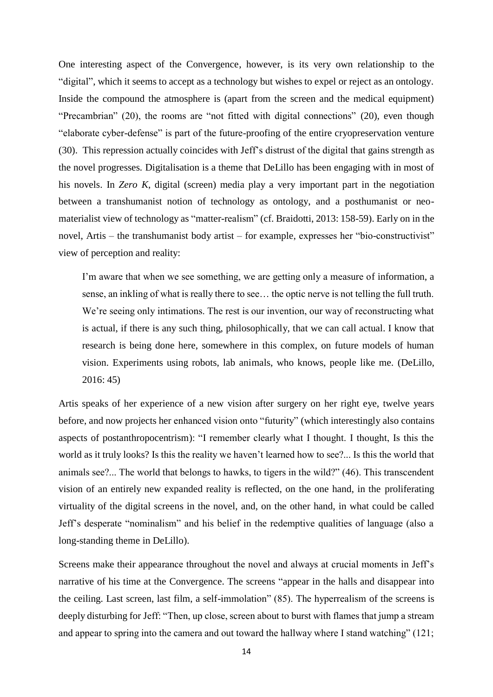One interesting aspect of the Convergence, however, is its very own relationship to the "digital", which it seems to accept as a technology but wishes to expel or reject as an ontology. Inside the compound the atmosphere is (apart from the screen and the medical equipment) "Precambrian" (20), the rooms are "not fitted with digital connections" (20), even though "elaborate cyber-defense" is part of the future-proofing of the entire cryopreservation venture (30). This repression actually coincides with Jeff's distrust of the digital that gains strength as the novel progresses. Digitalisation is a theme that DeLillo has been engaging with in most of his novels. In *Zero K*, digital (screen) media play a very important part in the negotiation between a transhumanist notion of technology as ontology, and a posthumanist or neomaterialist view of technology as "matter-realism" (cf. Braidotti, 2013: 158-59). Early on in the novel, Artis – the transhumanist body artist – for example, expresses her "bio-constructivist" view of perception and reality:

I'm aware that when we see something, we are getting only a measure of information, a sense, an inkling of what is really there to see… the optic nerve is not telling the full truth. We're seeing only intimations. The rest is our invention, our way of reconstructing what is actual, if there is any such thing, philosophically, that we can call actual. I know that research is being done here, somewhere in this complex, on future models of human vision. Experiments using robots, lab animals, who knows, people like me. (DeLillo, 2016: 45)

Artis speaks of her experience of a new vision after surgery on her right eye, twelve years before, and now projects her enhanced vision onto "futurity" (which interestingly also contains aspects of postanthropocentrism): "I remember clearly what I thought. I thought, Is this the world as it truly looks? Is this the reality we haven't learned how to see?... Is this the world that animals see?... The world that belongs to hawks, to tigers in the wild?" (46). This transcendent vision of an entirely new expanded reality is reflected, on the one hand, in the proliferating virtuality of the digital screens in the novel, and, on the other hand, in what could be called Jeff's desperate "nominalism" and his belief in the redemptive qualities of language (also a long-standing theme in DeLillo).

Screens make their appearance throughout the novel and always at crucial moments in Jeff's narrative of his time at the Convergence. The screens "appear in the halls and disappear into the ceiling. Last screen, last film, a self-immolation" (85). The hyperrealism of the screens is deeply disturbing for Jeff: "Then, up close, screen about to burst with flames that jump a stream and appear to spring into the camera and out toward the hallway where I stand watching" (121;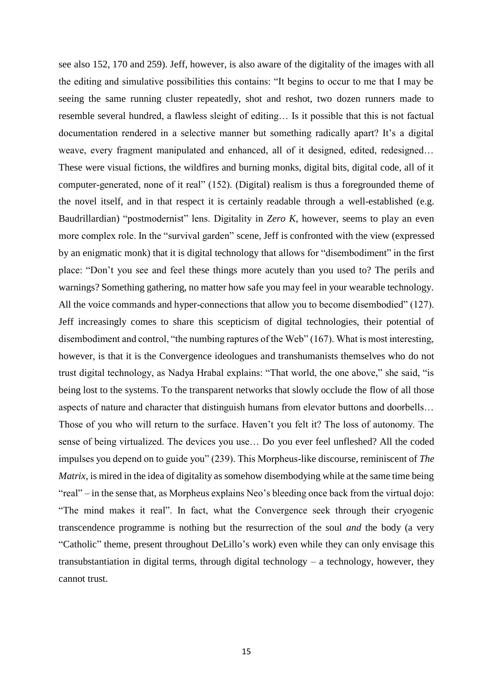see also 152, 170 and 259). Jeff, however, is also aware of the digitality of the images with all the editing and simulative possibilities this contains: "It begins to occur to me that I may be seeing the same running cluster repeatedly, shot and reshot, two dozen runners made to resemble several hundred, a flawless sleight of editing… Is it possible that this is not factual documentation rendered in a selective manner but something radically apart? It's a digital weave, every fragment manipulated and enhanced, all of it designed, edited, redesigned… These were visual fictions, the wildfires and burning monks, digital bits, digital code, all of it computer-generated, none of it real" (152). (Digital) realism is thus a foregrounded theme of the novel itself, and in that respect it is certainly readable through a well-established (e.g. Baudrillardian) "postmodernist" lens. Digitality in *Zero K*, however, seems to play an even more complex role. In the "survival garden" scene, Jeff is confronted with the view (expressed by an enigmatic monk) that it is digital technology that allows for "disembodiment" in the first place: "Don't you see and feel these things more acutely than you used to? The perils and warnings? Something gathering, no matter how safe you may feel in your wearable technology. All the voice commands and hyper-connections that allow you to become disembodied" (127). Jeff increasingly comes to share this scepticism of digital technologies, their potential of disembodiment and control, "the numbing raptures of the Web" (167). What is most interesting, however, is that it is the Convergence ideologues and transhumanists themselves who do not trust digital technology, as Nadya Hrabal explains: "That world, the one above," she said, "is being lost to the systems. To the transparent networks that slowly occlude the flow of all those aspects of nature and character that distinguish humans from elevator buttons and doorbells… Those of you who will return to the surface. Haven't you felt it? The loss of autonomy. The sense of being virtualized. The devices you use… Do you ever feel unfleshed? All the coded impulses you depend on to guide you" (239). This Morpheus-like discourse, reminiscent of *The Matrix*, is mired in the idea of digitality as somehow disembodying while at the same time being "real" – in the sense that, as Morpheus explains Neo's bleeding once back from the virtual dojo: "The mind makes it real". In fact, what the Convergence seek through their cryogenic transcendence programme is nothing but the resurrection of the soul *and* the body (a very "Catholic" theme, present throughout DeLillo's work) even while they can only envisage this transubstantiation in digital terms, through digital technology – a technology, however, they cannot trust.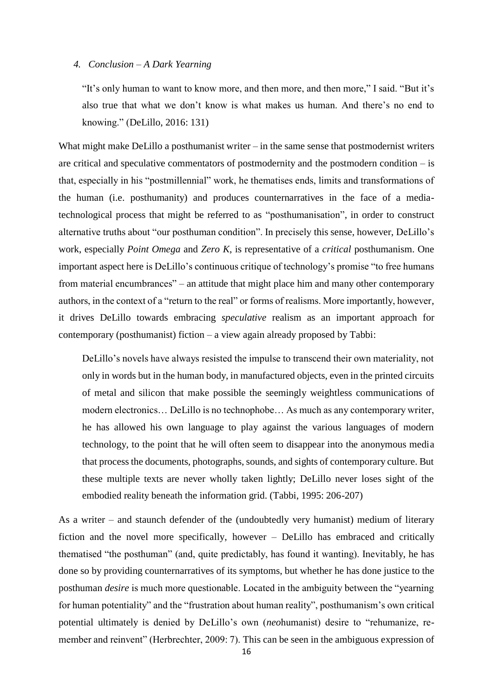# *4. Conclusion – A Dark Yearning*

"It's only human to want to know more, and then more, and then more," I said. "But it's also true that what we don't know is what makes us human. And there's no end to knowing." (DeLillo, 2016: 131)

What might make DeLillo a posthumanist writer – in the same sense that postmodernist writers are critical and speculative commentators of postmodernity and the postmodern condition – is that, especially in his "postmillennial" work, he thematises ends, limits and transformations of the human (i.e. posthumanity) and produces counternarratives in the face of a mediatechnological process that might be referred to as "posthumanisation", in order to construct alternative truths about "our posthuman condition". In precisely this sense, however, DeLillo's work, especially *Point Omega* and *Zero K*, is representative of a *critical* posthumanism. One important aspect here is DeLillo's continuous critique of technology's promise "to free humans from material encumbrances" – an attitude that might place him and many other contemporary authors, in the context of a "return to the real" or forms of realisms. More importantly, however, it drives DeLillo towards embracing *speculative* realism as an important approach for contemporary (posthumanist) fiction – a view again already proposed by Tabbi:

DeLillo's novels have always resisted the impulse to transcend their own materiality, not only in words but in the human body, in manufactured objects, even in the printed circuits of metal and silicon that make possible the seemingly weightless communications of modern electronics… DeLillo is no technophobe… As much as any contemporary writer, he has allowed his own language to play against the various languages of modern technology, to the point that he will often seem to disappear into the anonymous media that process the documents, photographs, sounds, and sights of contemporary culture. But these multiple texts are never wholly taken lightly; DeLillo never loses sight of the embodied reality beneath the information grid. (Tabbi, 1995: 206-207)

As a writer – and staunch defender of the (undoubtedly very humanist) medium of literary fiction and the novel more specifically, however – DeLillo has embraced and critically thematised "the posthuman" (and, quite predictably, has found it wanting). Inevitably, he has done so by providing counternarratives of its symptoms, but whether he has done justice to the posthuman *desire* is much more questionable. Located in the ambiguity between the "yearning for human potentiality" and the "frustration about human reality", posthumanism's own critical potential ultimately is denied by DeLillo's own (*neo*humanist) desire to "rehumanize, remember and reinvent" (Herbrechter, 2009: 7). This can be seen in the ambiguous expression of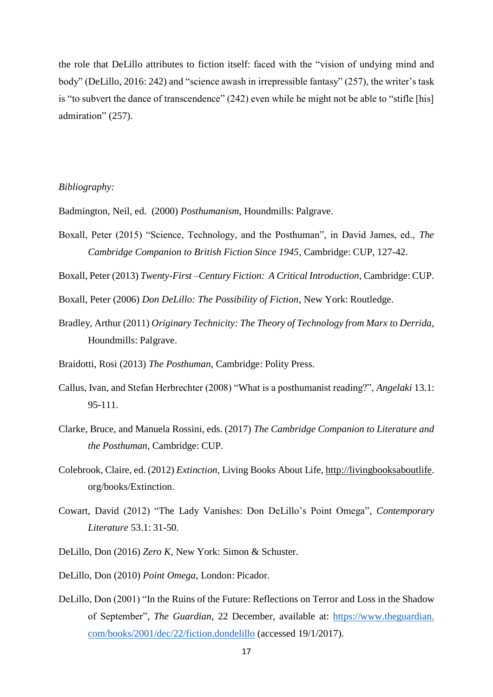the role that DeLillo attributes to fiction itself: faced with the "vision of undying mind and body" (DeLillo, 2016: 242) and "science awash in irrepressible fantasy" (257), the writer's task is "to subvert the dance of transcendence" (242) even while he might not be able to "stifle [his] admiration" (257).

# *Bibliography:*

Badmington, Neil, ed. (2000) *Posthumanism*, Houndmills: Palgrave.

- Boxall, Peter (2015) "Science, Technology, and the Posthuman", in David James, ed., *The Cambridge Companion to British Fiction Since 1945*, Cambridge: CUP, 127-42.
- Boxall, Peter (2013) *Twenty-First –Century Fiction: A Critical Introduction*, Cambridge: CUP.
- Boxall, Peter (2006) *Don DeLillo: The Possibility of Fiction*, New York: Routledge.
- Bradley, Arthur (2011) *Originary Technicity: The Theory of Technology from Marx to Derrida*, Houndmills: Palgrave.
- Braidotti, Rosi (2013) *The Posthuman*, Cambridge: Polity Press.
- Callus, Ivan, and Stefan Herbrechter (2008) "What is a posthumanist reading?", *Angelaki* 13.1: 95-111.
- Clarke, Bruce, and Manuela Rossini, eds. (2017) *The Cambridge Companion to Literature and the Posthuman*, Cambridge: CUP.
- Colebrook, Claire, ed. (2012) *Extinction*, Living Books About Life, [http://livingbooksaboutlife.](http://livingbooksaboutlife/) org/books/Extinction.
- Cowart, David (2012) "The Lady Vanishes: Don DeLillo's Point Omega", *Contemporary Literature* 53.1: 31-50.
- DeLillo, Don (2016) *Zero K*, New York: Simon & Schuster.
- DeLillo, Don (2010) *Point Omega*, London: Picador.
- DeLillo, Don (2001) "In the Ruins of the Future: Reflections on Terror and Loss in the Shadow of September", *The Guardian*, 22 December, available at: https://www.theguardian. com/books/2001/dec/22/fiction.dondelillo (accessed 19/1/2017).